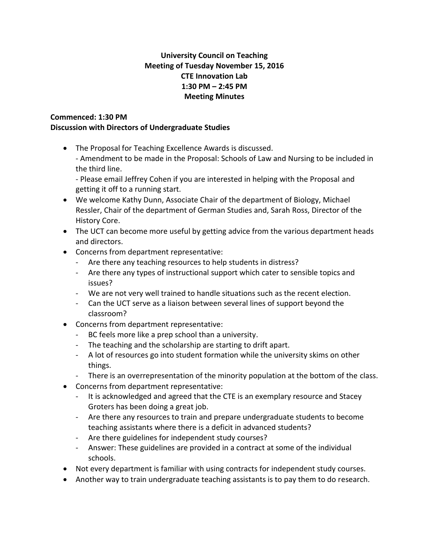## **University Council on Teaching Meeting of Tuesday November 15, 2016 CTE Innovation Lab 1:30 PM – 2:45 PM Meeting Minutes**

## **Commenced: 1:30 PM**

## **Discussion with Directors of Undergraduate Studies**

- The Proposal for Teaching Excellence Awards is discussed. - Amendment to be made in the Proposal: Schools of Law and Nursing to be included in the third line.
	- Please email Jeffrey Cohen if you are interested in helping with the Proposal and getting it off to a running start.
- We welcome Kathy Dunn, Associate Chair of the department of Biology, Michael Ressler, Chair of the department of German Studies and, Sarah Ross, Director of the History Core.
- The UCT can become more useful by getting advice from the various department heads and directors.
- Concerns from department representative:
	- Are there any teaching resources to help students in distress?
	- Are there any types of instructional support which cater to sensible topics and issues?
	- We are not very well trained to handle situations such as the recent election.
	- Can the UCT serve as a liaison between several lines of support beyond the classroom?
- Concerns from department representative:
	- BC feels more like a prep school than a university.
	- The teaching and the scholarship are starting to drift apart.
	- A lot of resources go into student formation while the university skims on other things.
	- There is an overrepresentation of the minority population at the bottom of the class.
- Concerns from department representative:
	- It is acknowledged and agreed that the CTE is an exemplary resource and Stacey Groters has been doing a great job.
	- Are there any resources to train and prepare undergraduate students to become teaching assistants where there is a deficit in advanced students?
	- Are there guidelines for independent study courses?
	- Answer: These guidelines are provided in a contract at some of the individual schools.
- Not every department is familiar with using contracts for independent study courses.
- Another way to train undergraduate teaching assistants is to pay them to do research.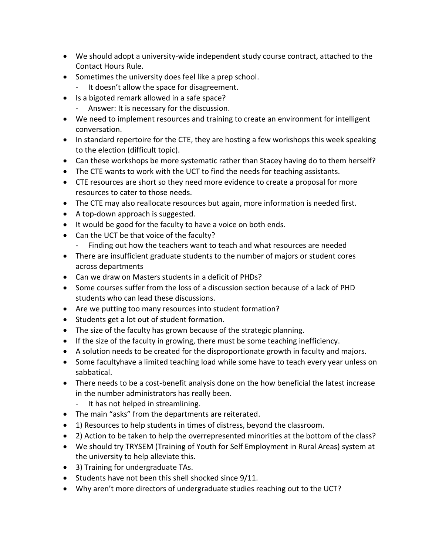- We should adopt a university-wide independent study course contract, attached to the Contact Hours Rule.
- Sometimes the university does feel like a prep school.
	- It doesn't allow the space for disagreement.
- Is a bigoted remark allowed in a safe space?
	- Answer: It is necessary for the discussion.
- We need to implement resources and training to create an environment for intelligent conversation.
- In standard repertoire for the CTE, they are hosting a few workshops this week speaking to the election (difficult topic).
- Can these workshops be more systematic rather than Stacey having do to them herself?
- The CTE wants to work with the UCT to find the needs for teaching assistants.
- CTE resources are short so they need more evidence to create a proposal for more resources to cater to those needs.
- The CTE may also reallocate resources but again, more information is needed first.
- A top-down approach is suggested.
- It would be good for the faculty to have a voice on both ends.
- Can the UCT be that voice of the faculty?
	- Finding out how the teachers want to teach and what resources are needed
- There are insufficient graduate students to the number of majors or student cores across departments
- Can we draw on Masters students in a deficit of PHDs?
- Some courses suffer from the loss of a discussion section because of a lack of PHD students who can lead these discussions.
- Are we putting too many resources into student formation?
- Students get a lot out of student formation.
- The size of the faculty has grown because of the strategic planning.
- If the size of the faculty in growing, there must be some teaching inefficiency.
- A solution needs to be created for the disproportionate growth in faculty and majors.
- Some facultyhave a limited teaching load while some have to teach every year unless on sabbatical.
- There needs to be a cost-benefit analysis done on the how beneficial the latest increase in the number administrators has really been.
	- It has not helped in streamlining.
- The main "asks" from the departments are reiterated.
- 1) Resources to help students in times of distress, beyond the classroom.
- 2) Action to be taken to help the overrepresented minorities at the bottom of the class?
- We should try TRYSEM (Training of Youth for Self Employment in Rural Areas) system at the university to help alleviate this.
- 3) Training for undergraduate TAs.
- Students have not been this shell shocked since 9/11.
- Why aren't more directors of undergraduate studies reaching out to the UCT?